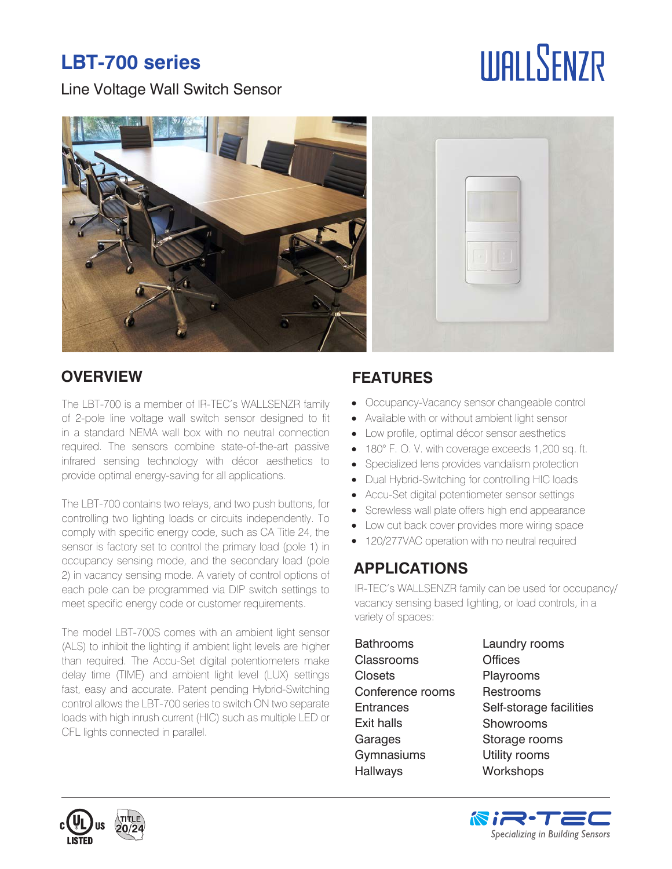# **LBT-700 series**

Line Voltage Wall Switch Sensor

# **IIIAI I SENZR**



## **OVERVIEW FEATURES**

The LBT-700 is a member of IR-TEC's WALLSENZR family of 2-pole line voltage wall switch sensor designed to fit in a standard NEMA wall box with no neutral connection required. The sensors combine state-of-the-art passive infrared sensing technology with décor aesthetics to provide optimal energy-saving for all applications.

The LBT-700 contains two relays, and two push buttons, for controlling two lighting loads or circuits independently. To comply with specific energy code, such as CA Title 24, the sensor is factory set to control the primary load (pole 1) in occupancy sensing mode, and the secondary load (pole 2) in vacancy sensing mode. A variety of control options of each pole can be programmed via DIP switch settings to meet specific energy code or customer requirements.

The model LBT-700S comes with an ambient light sensor (ALS) to inhibit the lighting if ambient light levels are higher than required. The Accu-Set digital potentiometers make delay time (TIME) and ambient light level (LUX) settings fast, easy and accurate. Patent pending Hybrid-Switching control allows the LBT-700 series to switch ON two separate loads with high inrush current (HIC) such as multiple LED or CFL lights connected in parallel.

- Occupancy-Vacancy sensor changeable control  $\bullet$
- Available with or without ambient light sensor  $\bullet$
- Low profile, optimal décor sensor aesthetics  $\bullet$
- 180° F. O. V. with coverage exceeds 1,200 sq. ft.
- Specialized lens provides vandalism protection
- Dual Hybrid-Switching for controlling HIC loads  $\bullet$
- Accu-Set digital potentiometer sensor settings  $\bullet$
- Screwless wall plate offers high end appearance
- $\bullet$ Low cut back cover provides more wiring space
- 120/277VAC operation with no neutral required

# **APPLICATIONS**

IR-TEC's WALLSENZR family can be used for occupancy/ vacancy sensing based lighting, or load controls, in a variety of spaces:

| <b>Bathrooms</b>  | Laundry rooms           |
|-------------------|-------------------------|
| <b>Classrooms</b> | <b>Offices</b>          |
| Closets           | Playrooms               |
| Conference rooms  | Restrooms               |
| <b>Entrances</b>  | Self-storage facilities |
| <b>Exit halls</b> | Showrooms               |
| Garages           | Storage rooms           |
| Gymnasiums        | Utility rooms           |
| <b>Hallways</b>   | Workshops               |